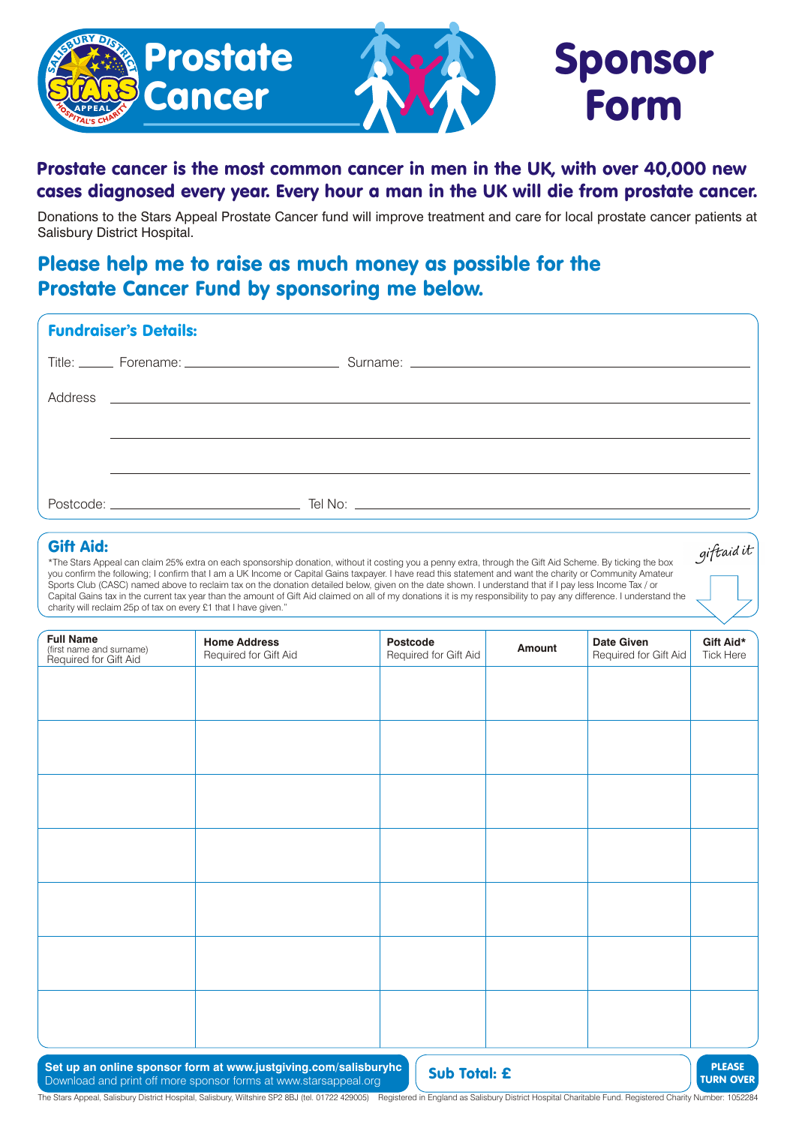

# Prostate cancer is the most common cancer in men in the UK, with over 40,000 new cases diagnosed every year. Every hour a man in the UK will die from prostate cancer.

Donations to the Stars Appeal Prostate Cancer fund will improve treatment and care for local prostate cancer patients at Salisbury District Hospital.

# Please help me to raise as much money as possible for the Prostate Cancer Fund by sponsoring me below.

| <b>Fundraiser's Details:</b> |  |                                                                                                                            |  |  |  |  |  |  |
|------------------------------|--|----------------------------------------------------------------------------------------------------------------------------|--|--|--|--|--|--|
|                              |  |                                                                                                                            |  |  |  |  |  |  |
|                              |  |                                                                                                                            |  |  |  |  |  |  |
|                              |  |                                                                                                                            |  |  |  |  |  |  |
|                              |  |                                                                                                                            |  |  |  |  |  |  |
|                              |  | $Postcode:$ $\qquad \qquad \qquad \qquad \qquad \qquad \qquad \text{Tel No:}$ $\qquad \qquad \qquad \qquad \text{Let No:}$ |  |  |  |  |  |  |

### Gift Aid:

\*The Stars Appeal can claim 25% extra on each sponsorship donation, without it costing you a penny extra, through the Gift Aid Scheme. By ticking the box you confirm the following; I confirm that I am a UK Income or Capital Gains taxpayer. I have read this statement and want the charity or Community Amateur Sports Club (CASC) named above to reclaim tax on the donation detailed below, given on the date shown. I understand that if I pay less Income Tax / or Capital Gains tax in the current tax year than the amount of Gift Aid claimed on all of my donations it is my responsibility to pay any difference. I understand the charity will reclaim 25p of tax on every £1 that I have given."

| <b>Full Name</b><br>(first name and surname)<br>Required for Gift Aid | <b>Home Address</b><br>Required for Gift Aid | Postcode<br>Required for Gift Aid | Amount | Date Given<br>Required for Gift Aid | Gift Aid*<br>Tick Here |
|-----------------------------------------------------------------------|----------------------------------------------|-----------------------------------|--------|-------------------------------------|------------------------|
|                                                                       |                                              |                                   |        |                                     |                        |
|                                                                       |                                              |                                   |        |                                     |                        |
|                                                                       |                                              |                                   |        |                                     |                        |
|                                                                       |                                              |                                   |        |                                     |                        |
|                                                                       |                                              |                                   |        |                                     |                        |
|                                                                       |                                              |                                   |        |                                     |                        |
|                                                                       |                                              |                                   |        |                                     |                        |
|                                                                       |                                              |                                   |        |                                     |                        |
|                                                                       |                                              |                                   |        |                                     |                        |

Set up an online sponsor form at www.justgiving.com/salisburyhc **Sub Total: £** Download and print off more sponsor forms at www.starsappeal.org



giftaid it

The Stars Appeal, Salisbury District Hospital, Salisbury, Wiltshire SP2 8BJ (tel. 01722 429005) Registered in England as Salisbury District Hospital Charitable Fund. Registered Charity Number: 1052284